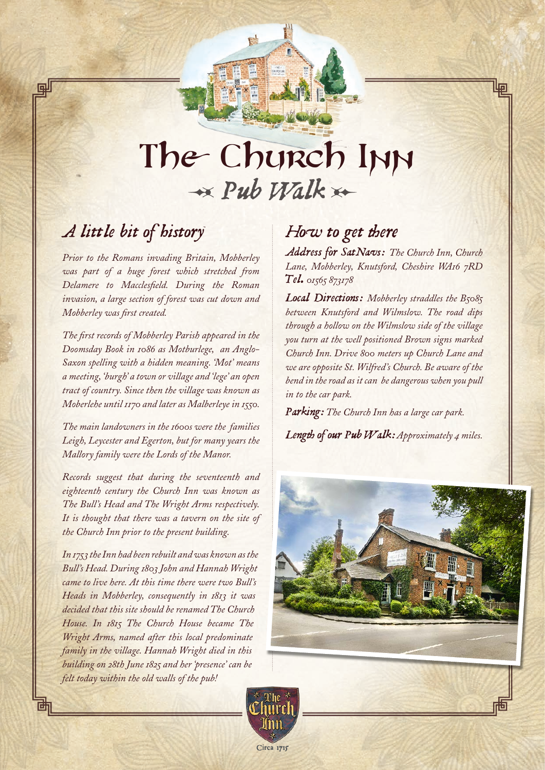## The Church Inn  *Pub Walk*

## *A little bit of history*

*Prior to the Romans invading Britain, Mobberley was part of a huge forest which stretched from Delamere to Macclesfield. During the Roman invasion, a large section of forest was cut down and Mobberley was first created.*

*The first records of Mobberley Parish appeared in the Doomsday Book in 1086 as Motburlege, an Anglo-Saxon spelling with a hidden meaning. 'Mot' means a meeting, 'burgh' a town or village and 'lege' an open tract of country. Since then the village was known as Moberlehe until 1170 and later as Malberleye in 1550.*

*The main landowners in the 1600s were the families Leigh, Leycester and Egerton, but for many years the Mallory family were the Lords of the Manor.*

*Records suggest that during the seventeenth and eighteenth century the Church Inn was known as The Bull's Head and The Wright Arms respectively. It is thought that there was a tavern on the site of the Church Inn prior to the present building.*

*In 1753 the Inn had been rebuilt and was known as the Bull's Head. During 1803 John and Hannah Wright came to live here. At this time there were two Bull's Heads in Mobberley, consequently in 1813 it was decided that this site should be renamed The Church House. In 1815 The Church House became The Wright Arms, named after this local predominate family in the village. Hannah Wright died in this building on 28th June 1825 and her 'presence' can be felt today within the old walls of the pub!*

## *How to get there*

*Address for SatNavs: The Church Inn, Church Lane, Mobberley, Knutsford, Cheshire WA16 7RD Tel. 01565 873178*

*Local Directions: Mobberley straddles the B5085 between Knutsford and Wilmslow. The road dips through a hollow on the Wilmslow side of the village you turn at the well positioned Brown signs marked Church Inn. Drive 800 meters up Church Lane and we are opposite St. Wilfred's Church. Be aware of the bend in the road as it can be dangerous when you pull in to the car park.*

*Parking: The Church Inn has a large car park.*

*Length of our Pub Walk: Approximately 4 miles.*